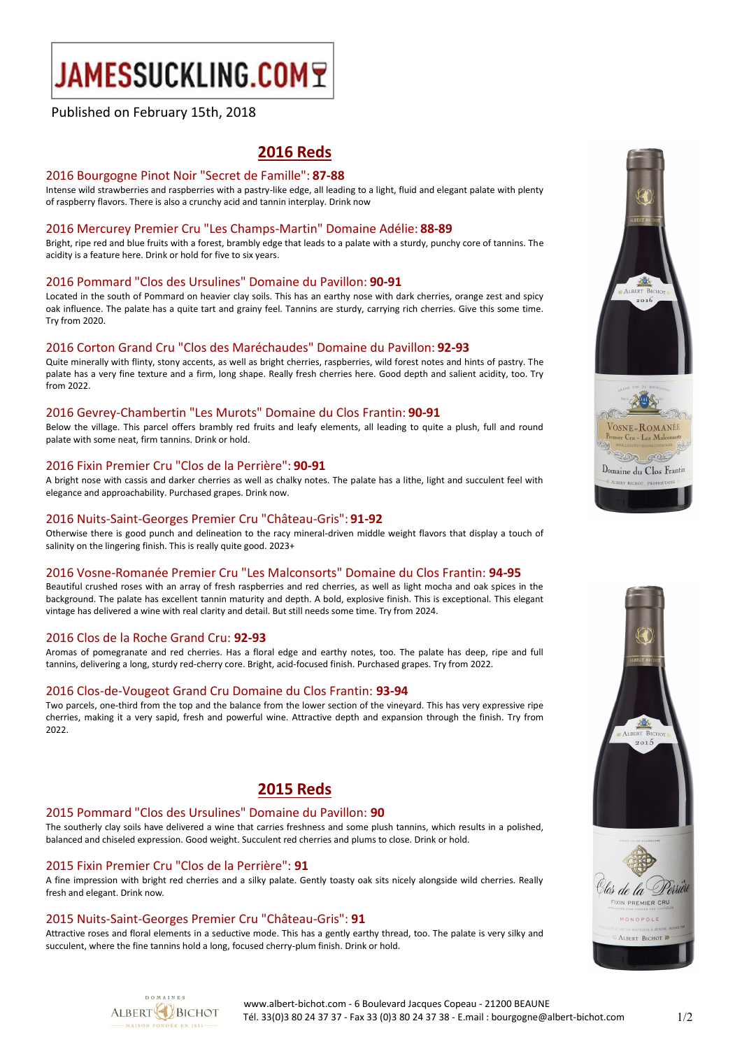# JAMESSUCKLING.COMT

# Published on February 15th, 2018

# **2016 Reds**

#### 2016 Bourgogne Pinot Noir "Secret de Famille": **87-88**

Intense wild strawberries and raspberries with a pastry-like edge, all leading to a light, fluid and elegant palate with plenty of raspberry flavors. There is also a crunchy acid and tannin interplay. Drink now

## 2016 Mercurey Premier Cru "Les Champs-Martin" Domaine Adélie: **88-89**

Bright, ripe red and blue fruits with a forest, brambly edge that leads to a palate with a sturdy, punchy core of tannins. The acidity is a feature here. Drink or hold for five to six years.

## 2016 Pommard "Clos des Ursulines" Domaine du Pavillon: **90-91**

Located in the south of Pommard on heavier clay soils. This has an earthy nose with dark cherries, orange zest and spicy oak influence. The palate has a quite tart and grainy feel. Tannins are sturdy, carrying rich cherries. Give this some time. Try from 2020.

## 2016 Corton Grand Cru "Clos des Maréchaudes" Domaine du Pavillon: **92-93**

Quite minerally with flinty, stony accents, as well as bright cherries, raspberries, wild forest notes and hints of pastry. The palate has a very fine texture and a firm, long shape. Really fresh cherries here. Good depth and salient acidity, too. Try from 2022.

## 2016 Gevrey-Chambertin "Les Murots" Domaine du Clos Frantin: **90-91**

Below the village. This parcel offers brambly red fruits and leafy elements, all leading to quite a plush, full and round palate with some neat, firm tannins. Drink or hold.

## 2016 Fixin Premier Cru "Clos de la Perrière": **90-91**

A bright nose with cassis and darker cherries as well as chalky notes. The palate has a lithe, light and succulent feel with elegance and approachability. Purchased grapes. Drink now.

## 2016 Nuits-Saint-Georges Premier Cru "Château-Gris": **91-92**

Otherwise there is good punch and delineation to the racy mineral-driven middle weight flavors that display a touch of salinity on the lingering finish. This is really quite good. 2023+

#### 2016 Vosne-Romanée Premier Cru "Les Malconsorts" Domaine du Clos Frantin: **94-95**

Beautiful crushed roses with an array of fresh raspberries and red cherries, as well as light mocha and oak spices in the background. The palate has excellent tannin maturity and depth. A bold, explosive finish. This is exceptional. This elegant vintage has delivered a wine with real clarity and detail. But still needs some time. Try from 2024.

## 2016 Clos de la Roche Grand Cru: **92-93**

Aromas of pomegranate and red cherries. Has a floral edge and earthy notes, too. The palate has deep, ripe and full tannins, delivering a long, sturdy red-cherry core. Bright, acid-focused finish. Purchased grapes. Try from 2022.

## 2016 Clos-de-Vougeot Grand Cru Domaine du Clos Frantin: **93-94**

Two parcels, one-third from the top and the balance from the lower section of the vineyard. This has very expressive ripe cherries, making it a very sapid, fresh and powerful wine. Attractive depth and expansion through the finish. Try from 2022.

# **2015 Reds**

# 2015 Pommard "Clos des Ursulines" Domaine du Pavillon: **90**

The southerly clay soils have delivered a wine that carries freshness and some plush tannins, which results in a polished, balanced and chiseled expression. Good weight. Succulent red cherries and plums to close. Drink or hold.

# 2015 Fixin Premier Cru "Clos de la Perrière": **91**

A fine impression with bright red cherries and a silky palate. Gently toasty oak sits nicely alongside wild cherries. Really fresh and elegant. Drink now.

# 2015 Nuits-Saint-Georges Premier Cru "Château-Gris": **91**

Attractive roses and floral elements in a seductive mode. This has a gently earthy thread, too. The palate is very silky and succulent, where the fine tannins hold a long, focused cherry-plum finish. Drink or hold.